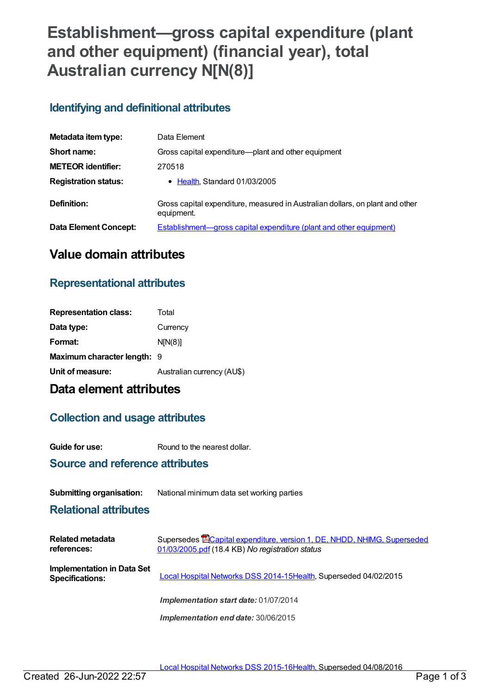# **Establishment—gross capital expenditure (plant and other equipment) (financial year), total Australian currency N[N(8)]**

### **Identifying and definitional attributes**

| Metadata item type:         | Data Element                                                                                |
|-----------------------------|---------------------------------------------------------------------------------------------|
| Short name:                 | Gross capital expenditure—plant and other equipment                                         |
| <b>METEOR identifier:</b>   | 270518                                                                                      |
| <b>Registration status:</b> | • Health, Standard 01/03/2005                                                               |
| Definition:                 | Gross capital expenditure, measured in Australian dollars, on plant and other<br>equipment. |
| Data Element Concept:       | <b>Establishment—gross capital expenditure (plant and other equipment)</b>                  |

## **Value domain attributes**

## **Representational attributes**

| <b>Representation class:</b> | Total                      |
|------------------------------|----------------------------|
| Data type:                   | Currency                   |
| Format:                      | N[N(8)]                    |
| Maximum character length: 9  |                            |
| Unit of measure:             | Australian currency (AU\$) |

## **Data element attributes**

### **Collection and usage attributes**

**Guide for use:** Round to the nearest dollar.

### **Source and reference attributes**

#### **Submitting organisation:** National minimum data set working parties

#### **Relational attributes**

| <b>Related metadata</b><br>references:               | Supersedes <b>ECapital expenditure, version 1, DE, NHDD, NHIMG, Superseded</b><br>01/03/2005.pdf (18.4 KB) No registration status |
|------------------------------------------------------|-----------------------------------------------------------------------------------------------------------------------------------|
| Implementation in Data Set<br><b>Specifications:</b> | Local Hospital Networks DSS 2014-15Health, Superseded 04/02/2015                                                                  |
|                                                      | Implementation start date: 01/07/2014                                                                                             |
|                                                      | Implementation end date: 30/06/2015                                                                                               |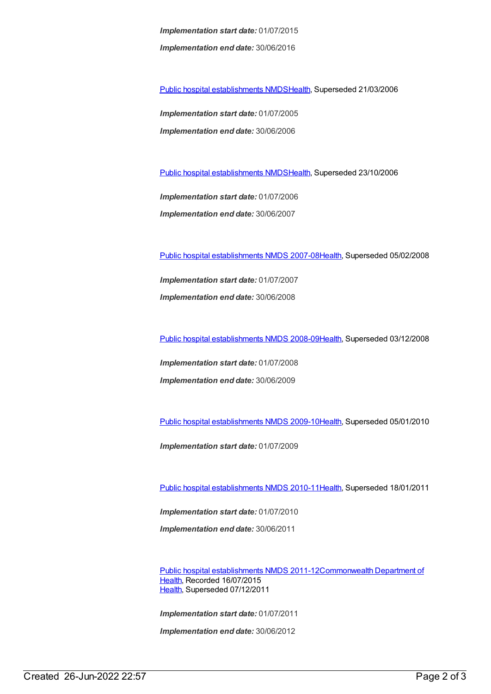*Implementation start date:* 01/07/2015 *Implementation end date:* 30/06/2016

Public hospital [establishments](https://meteor.aihw.gov.au/content/273047) NMDS[Health](https://meteor.aihw.gov.au/RegistrationAuthority/12), Superseded 21/03/2006

*Implementation start date:* 01/07/2005 *Implementation end date:* 30/06/2006

Public hospital [establishments](https://meteor.aihw.gov.au/content/334285) NMDS[Health](https://meteor.aihw.gov.au/RegistrationAuthority/12), Superseded 23/10/2006

*Implementation start date:* 01/07/2006 *Implementation end date:* 30/06/2007

Public hospital [establishments](https://meteor.aihw.gov.au/content/345139) NMDS 2007-08[Health](https://meteor.aihw.gov.au/RegistrationAuthority/12), Superseded 05/02/2008

*Implementation start date:* 01/07/2007 *Implementation end date:* 30/06/2008

Public hospital [establishments](https://meteor.aihw.gov.au/content/362302) NMDS 2008-09[Health](https://meteor.aihw.gov.au/RegistrationAuthority/12), Superseded 03/12/2008

*Implementation start date:* 01/07/2008 *Implementation end date:* 30/06/2009

Public hospital [establishments](https://meteor.aihw.gov.au/content/374924) NMDS 2009-10[Health](https://meteor.aihw.gov.au/RegistrationAuthority/12), Superseded 05/01/2010

*Implementation start date:* 01/07/2009

Public hospital [establishments](https://meteor.aihw.gov.au/content/386794) NMDS 2010-11[Health](https://meteor.aihw.gov.au/RegistrationAuthority/12), Superseded 18/01/2011

*Implementation start date:* 01/07/2010 *Implementation end date:* 30/06/2011

Public hospital [establishments](https://meteor.aihw.gov.au/content/426900) NMDS [2011-12Commonwealth](https://meteor.aihw.gov.au/RegistrationAuthority/10) Department of Health, Recorded 16/07/2015 [Health](https://meteor.aihw.gov.au/RegistrationAuthority/12), Superseded 07/12/2011

*Implementation start date:* 01/07/2011

*Implementation end date:* 30/06/2012